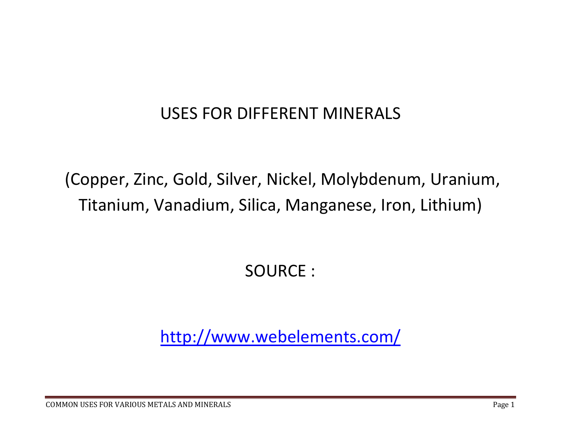## USES FOR DIFFERENT MINERALS

(Copper, Zinc, Gold, Silver, Nickel, Molybdenum, Uranium, Titanium, Vanadium, Silica, Manganese, Iron, Lithium)

SOURCE :

http://www.webelements.com/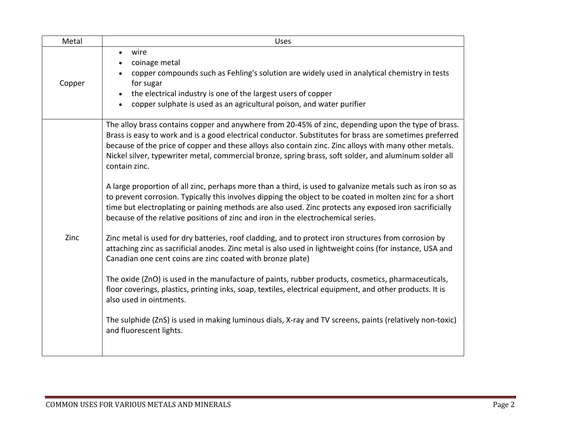| Metal  | <b>Uses</b>                                                                                                                                                                                                                                                                                                                                                                                                                                                                                                                                                                                                                                                                                                                                                                                                                                                                                                                                                                                                                                                                                                                                                                                                                                                                                                                                                                                                                                                                                                                                          |
|--------|------------------------------------------------------------------------------------------------------------------------------------------------------------------------------------------------------------------------------------------------------------------------------------------------------------------------------------------------------------------------------------------------------------------------------------------------------------------------------------------------------------------------------------------------------------------------------------------------------------------------------------------------------------------------------------------------------------------------------------------------------------------------------------------------------------------------------------------------------------------------------------------------------------------------------------------------------------------------------------------------------------------------------------------------------------------------------------------------------------------------------------------------------------------------------------------------------------------------------------------------------------------------------------------------------------------------------------------------------------------------------------------------------------------------------------------------------------------------------------------------------------------------------------------------------|
| Copper | wire<br>$\bullet$<br>coinage metal<br>copper compounds such as Fehling's solution are widely used in analytical chemistry in tests<br>for sugar<br>the electrical industry is one of the largest users of copper<br>copper sulphate is used as an agricultural poison, and water purifier                                                                                                                                                                                                                                                                                                                                                                                                                                                                                                                                                                                                                                                                                                                                                                                                                                                                                                                                                                                                                                                                                                                                                                                                                                                            |
| Zinc   | The alloy brass contains copper and anywhere from 20-45% of zinc, depending upon the type of brass.<br>Brass is easy to work and is a good electrical conductor. Substitutes for brass are sometimes preferred<br>because of the price of copper and these alloys also contain zinc. Zinc alloys with many other metals.<br>Nickel silver, typewriter metal, commercial bronze, spring brass, soft solder, and aluminum solder all<br>contain zinc.<br>A large proportion of all zinc, perhaps more than a third, is used to galvanize metals such as iron so as<br>to prevent corrosion. Typically this involves dipping the object to be coated in molten zinc for a short<br>time but electroplating or paining methods are also used. Zinc protects any exposed iron sacrificially<br>because of the relative positions of zinc and iron in the electrochemical series.<br>Zinc metal is used for dry batteries, roof cladding, and to protect iron structures from corrosion by<br>attaching zinc as sacrificial anodes. Zinc metal is also used in lightweight coins (for instance, USA and<br>Canadian one cent coins are zinc coated with bronze plate)<br>The oxide (ZnO) is used in the manufacture of paints, rubber products, cosmetics, pharmaceuticals,<br>floor coverings, plastics, printing inks, soap, textiles, electrical equipment, and other products. It is<br>also used in ointments.<br>The sulphide (ZnS) is used in making luminous dials, X-ray and TV screens, paints (relatively non-toxic)<br>and fluorescent lights. |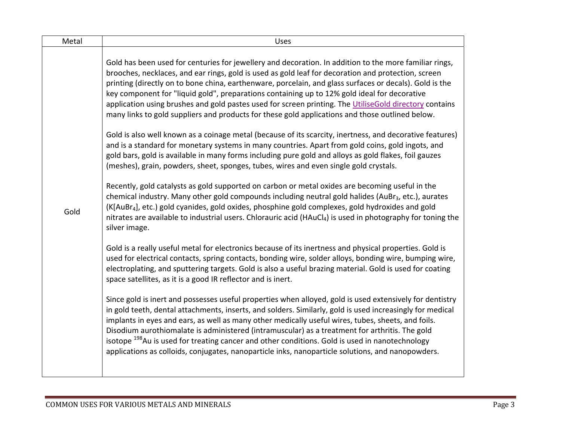| Metal | <b>Uses</b>                                                                                                                                                                                                                                                                                                                                                                                                                                                                                                                                                                                                                                                                                                                                                                                                                                                                                                                                                                                                                                                                                                                                                                                                                                                                                                                                                                                                                                                                                                                                                                                                                                                                                                                                                                                                                                                                                                                                                                                                                                                                                                                                                                                                                                                                                                                                                                                                                                                                                                                                                                                      |
|-------|--------------------------------------------------------------------------------------------------------------------------------------------------------------------------------------------------------------------------------------------------------------------------------------------------------------------------------------------------------------------------------------------------------------------------------------------------------------------------------------------------------------------------------------------------------------------------------------------------------------------------------------------------------------------------------------------------------------------------------------------------------------------------------------------------------------------------------------------------------------------------------------------------------------------------------------------------------------------------------------------------------------------------------------------------------------------------------------------------------------------------------------------------------------------------------------------------------------------------------------------------------------------------------------------------------------------------------------------------------------------------------------------------------------------------------------------------------------------------------------------------------------------------------------------------------------------------------------------------------------------------------------------------------------------------------------------------------------------------------------------------------------------------------------------------------------------------------------------------------------------------------------------------------------------------------------------------------------------------------------------------------------------------------------------------------------------------------------------------------------------------------------------------------------------------------------------------------------------------------------------------------------------------------------------------------------------------------------------------------------------------------------------------------------------------------------------------------------------------------------------------------------------------------------------------------------------------------------------------|
| Gold  | Gold has been used for centuries for jewellery and decoration. In addition to the more familiar rings,<br>brooches, necklaces, and ear rings, gold is used as gold leaf for decoration and protection, screen<br>printing (directly on to bone china, earthenware, porcelain, and glass surfaces or decals). Gold is the<br>key component for "liquid gold", preparations containing up to 12% gold ideal for decorative<br>application using brushes and gold pastes used for screen printing. The UtiliseGold directory contains<br>many links to gold suppliers and products for these gold applications and those outlined below.<br>Gold is also well known as a coinage metal (because of its scarcity, inertness, and decorative features)<br>and is a standard for monetary systems in many countries. Apart from gold coins, gold ingots, and<br>gold bars, gold is available in many forms including pure gold and alloys as gold flakes, foil gauzes<br>(meshes), grain, powders, sheet, sponges, tubes, wires and even single gold crystals.<br>Recently, gold catalysts as gold supported on carbon or metal oxides are becoming useful in the<br>chemical industry. Many other gold compounds including neutral gold halides (AuBr <sub>3</sub> , etc.), aurates<br>(K[AuBr <sub>4</sub> ], etc.) gold cyanides, gold oxides, phosphine gold complexes, gold hydroxides and gold<br>nitrates are available to industrial users. Chlorauric acid (HAuCl <sub>4</sub> ) is used in photography for toning the<br>silver image.<br>Gold is a really useful metal for electronics because of its inertness and physical properties. Gold is<br>used for electrical contacts, spring contacts, bonding wire, solder alloys, bonding wire, bumping wire,<br>electroplating, and sputtering targets. Gold is also a useful brazing material. Gold is used for coating<br>space satellites, as it is a good IR reflector and is inert.<br>Since gold is inert and possesses useful properties when alloyed, gold is used extensively for dentistry<br>in gold teeth, dental attachments, inserts, and solders. Similarly, gold is used increasingly for medical<br>implants in eyes and ears, as well as many other medically useful wires, tubes, sheets, and foils.<br>Disodium aurothiomalate is administered (intramuscular) as a treatment for arthritis. The gold<br>isotope <sup>198</sup> Au is used for treating cancer and other conditions. Gold is used in nanotechnology<br>applications as colloids, conjugates, nanoparticle inks, nanoparticle solutions, and nanopowders. |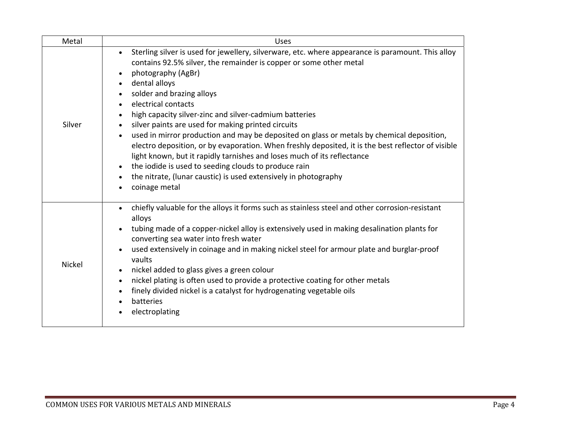| Metal         | <b>Uses</b>                                                                                                                                                                                                                                                                                                                                                                                                                                                                                                                                                                                                                                                                                                                                                                                                                                         |
|---------------|-----------------------------------------------------------------------------------------------------------------------------------------------------------------------------------------------------------------------------------------------------------------------------------------------------------------------------------------------------------------------------------------------------------------------------------------------------------------------------------------------------------------------------------------------------------------------------------------------------------------------------------------------------------------------------------------------------------------------------------------------------------------------------------------------------------------------------------------------------|
| Silver        | Sterling silver is used for jewellery, silverware, etc. where appearance is paramount. This alloy<br>contains 92.5% silver, the remainder is copper or some other metal<br>photography (AgBr)<br>dental alloys<br>solder and brazing alloys<br>$\bullet$<br>electrical contacts<br>high capacity silver-zinc and silver-cadmium batteries<br>silver paints are used for making printed circuits<br>$\bullet$<br>used in mirror production and may be deposited on glass or metals by chemical deposition,<br>electro deposition, or by evaporation. When freshly deposited, it is the best reflector of visible<br>light known, but it rapidly tarnishes and loses much of its reflectance<br>the iodide is used to seeding clouds to produce rain<br>the nitrate, (lunar caustic) is used extensively in photography<br>coinage metal<br>$\bullet$ |
| <b>Nickel</b> | chiefly valuable for the alloys it forms such as stainless steel and other corrosion-resistant<br>$\bullet$<br>alloys<br>tubing made of a copper-nickel alloy is extensively used in making desalination plants for<br>converting sea water into fresh water<br>used extensively in coinage and in making nickel steel for armour plate and burglar-proof<br>vaults<br>nickel added to glass gives a green colour<br>nickel plating is often used to provide a protective coating for other metals<br>$\bullet$<br>finely divided nickel is a catalyst for hydrogenating vegetable oils<br>batteries<br>electroplating                                                                                                                                                                                                                              |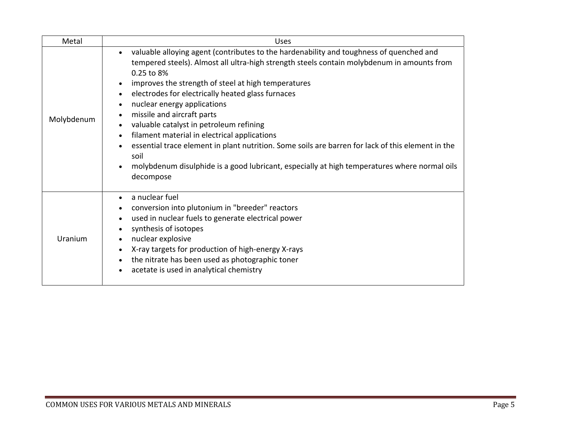| Metal      | Uses                                                                                                                                                                                                                                                                                                                                                                                                                                                                                                                                                                                                                                                                                              |
|------------|---------------------------------------------------------------------------------------------------------------------------------------------------------------------------------------------------------------------------------------------------------------------------------------------------------------------------------------------------------------------------------------------------------------------------------------------------------------------------------------------------------------------------------------------------------------------------------------------------------------------------------------------------------------------------------------------------|
| Molybdenum | valuable alloying agent (contributes to the hardenability and toughness of quenched and<br>tempered steels). Almost all ultra-high strength steels contain molybdenum in amounts from<br>0.25 to 8%<br>improves the strength of steel at high temperatures<br>electrodes for electrically heated glass furnaces<br>nuclear energy applications<br>missile and aircraft parts<br>valuable catalyst in petroleum refining<br>filament material in electrical applications<br>essential trace element in plant nutrition. Some soils are barren for lack of this element in the<br>soil<br>molybdenum disulphide is a good lubricant, especially at high temperatures where normal oils<br>decompose |
| Uranium    | a nuclear fuel<br>conversion into plutonium in "breeder" reactors<br>used in nuclear fuels to generate electrical power<br>synthesis of isotopes<br>nuclear explosive<br>X-ray targets for production of high-energy X-rays<br>the nitrate has been used as photographic toner<br>acetate is used in analytical chemistry                                                                                                                                                                                                                                                                                                                                                                         |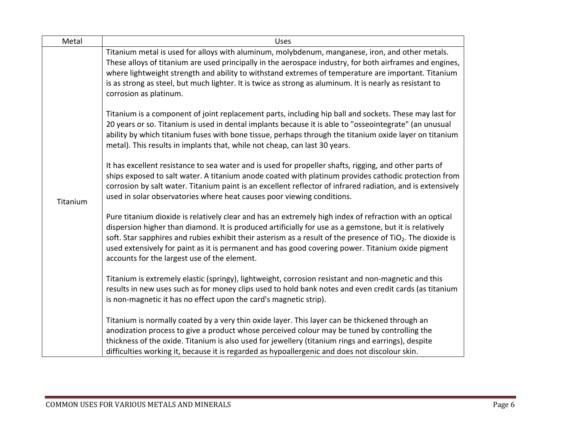| Metal    | <b>Uses</b>                                                                                                                                                                                                                                                                                                                                                                                                                                                                                        |
|----------|----------------------------------------------------------------------------------------------------------------------------------------------------------------------------------------------------------------------------------------------------------------------------------------------------------------------------------------------------------------------------------------------------------------------------------------------------------------------------------------------------|
| Titanium | Titanium metal is used for alloys with aluminum, molybdenum, manganese, iron, and other metals.<br>These alloys of titanium are used principally in the aerospace industry, for both airframes and engines,<br>where lightweight strength and ability to withstand extremes of temperature are important. Titanium<br>is as strong as steel, but much lighter. It is twice as strong as aluminum. It is nearly as resistant to<br>corrosion as platinum.                                           |
|          | Titanium is a component of joint replacement parts, including hip ball and sockets. These may last for<br>20 years or so. Titanium is used in dental implants because it is able to "osseointegrate" (an unusual<br>ability by which titanium fuses with bone tissue, perhaps through the titanium oxide layer on titanium<br>metal). This results in implants that, while not cheap, can last 30 years.                                                                                           |
|          | It has excellent resistance to sea water and is used for propeller shafts, rigging, and other parts of<br>ships exposed to salt water. A titanium anode coated with platinum provides cathodic protection from<br>corrosion by salt water. Titanium paint is an excellent reflector of infrared radiation, and is extensively<br>used in solar observatories where heat causes poor viewing conditions.                                                                                            |
|          | Pure titanium dioxide is relatively clear and has an extremely high index of refraction with an optical<br>dispersion higher than diamond. It is produced artificially for use as a gemstone, but it is relatively<br>soft. Star sapphires and rubies exhibit their asterism as a result of the presence of TiO <sub>2</sub> . The dioxide is<br>used extensively for paint as it is permanent and has good covering power. Titanium oxide pigment<br>accounts for the largest use of the element. |
|          | Titanium is extremely elastic (springy), lightweight, corrosion resistant and non-magnetic and this<br>results in new uses such as for money clips used to hold bank notes and even credit cards (as titanium<br>is non-magnetic it has no effect upon the card's magnetic strip).                                                                                                                                                                                                                 |
|          | Titanium is normally coated by a very thin oxide layer. This layer can be thickened through an<br>anodization process to give a product whose perceived colour may be tuned by controlling the<br>thickness of the oxide. Titanium is also used for jewellery (titanium rings and earrings), despite<br>difficulties working it, because it is regarded as hypoallergenic and does not discolour skin.                                                                                             |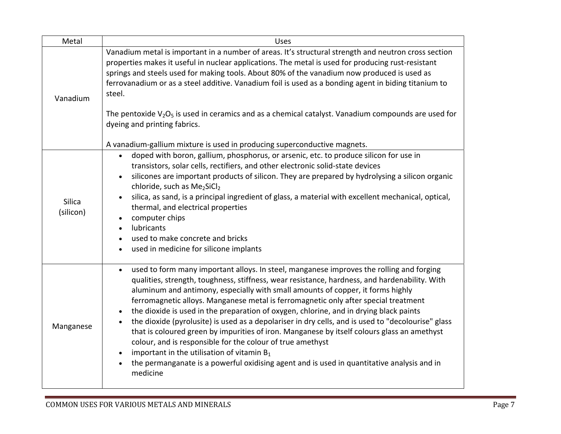| Metal               | <b>Uses</b>                                                                                                                                                                                                                                                                                                                                                                                                                                                                                                                                                                                                                                                                                                                                                                                                                                                                                              |
|---------------------|----------------------------------------------------------------------------------------------------------------------------------------------------------------------------------------------------------------------------------------------------------------------------------------------------------------------------------------------------------------------------------------------------------------------------------------------------------------------------------------------------------------------------------------------------------------------------------------------------------------------------------------------------------------------------------------------------------------------------------------------------------------------------------------------------------------------------------------------------------------------------------------------------------|
| Vanadium            | Vanadium metal is important in a number of areas. It's structural strength and neutron cross section<br>properties makes it useful in nuclear applications. The metal is used for producing rust-resistant<br>springs and steels used for making tools. About 80% of the vanadium now produced is used as<br>ferrovanadium or as a steel additive. Vanadium foil is used as a bonding agent in biding titanium to<br>steel.<br>The pentoxide $V_2O_5$ is used in ceramics and as a chemical catalyst. Vanadium compounds are used for<br>dyeing and printing fabrics.<br>A vanadium-gallium mixture is used in producing superconductive magnets.                                                                                                                                                                                                                                                        |
| Silica<br>(silicon) | doped with boron, gallium, phosphorus, or arsenic, etc. to produce silicon for use in<br>$\bullet$<br>transistors, solar cells, rectifiers, and other electronic solid-state devices<br>silicones are important products of silicon. They are prepared by hydrolysing a silicon organic<br>chloride, such as Me <sub>2</sub> SiCl <sub>2</sub><br>silica, as sand, is a principal ingredient of glass, a material with excellent mechanical, optical,<br>thermal, and electrical properties<br>computer chips<br>lubricants<br>used to make concrete and bricks<br>used in medicine for silicone implants                                                                                                                                                                                                                                                                                                |
| Manganese           | used to form many important alloys. In steel, manganese improves the rolling and forging<br>$\bullet$<br>qualities, strength, toughness, stiffness, wear resistance, hardness, and hardenability. With<br>aluminum and antimony, especially with small amounts of copper, it forms highly<br>ferromagnetic alloys. Manganese metal is ferromagnetic only after special treatment<br>the dioxide is used in the preparation of oxygen, chlorine, and in drying black paints<br>the dioxide (pyrolusite) is used as a depolariser in dry cells, and is used to "decolourise" glass<br>that is coloured green by impurities of iron. Manganese by itself colours glass an amethyst<br>colour, and is responsible for the colour of true amethyst<br>important in the utilisation of vitamin $B_1$<br>the permanganate is a powerful oxidising agent and is used in quantitative analysis and in<br>medicine |